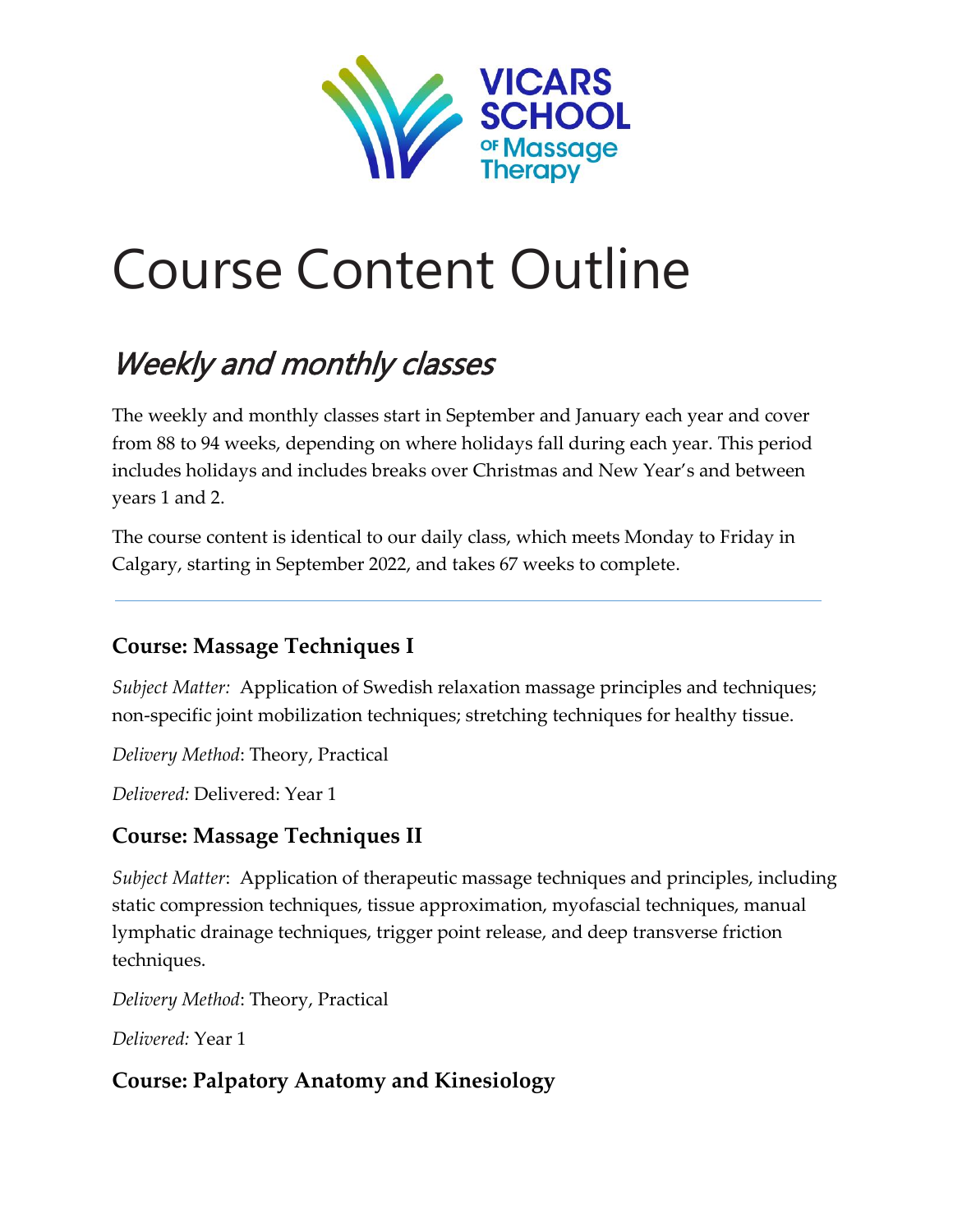

# Course Content Outline

# Weekly and monthly classes

The weekly and monthly classes start in September and January each year and cover from 88 to 94 weeks, depending on where holidays fall during each year. This period includes holidays and includes breaks over Christmas and New Year's and between years 1 and 2.

The course content is identical to our daily class, which meets Monday to Friday in Calgary, starting in September 2022, and takes 67 weeks to complete.

# **Course: Massage Techniques I**

*Subject Matter:* Application of Swedish relaxation massage principles and techniques; non-specific joint mobilization techniques; stretching techniques for healthy tissue.

*Delivery Method*: Theory, Practical

*Delivered:* Delivered: Year 1

# **Course: Massage Techniques II**

*Subject Matter*: Application of therapeutic massage techniques and principles, including static compression techniques, tissue approximation, myofascial techniques, manual lymphatic drainage techniques, trigger point release, and deep transverse friction techniques.

*Delivery Method*: Theory, Practical

*Delivered:* Year 1

# **Course: Palpatory Anatomy and Kinesiology**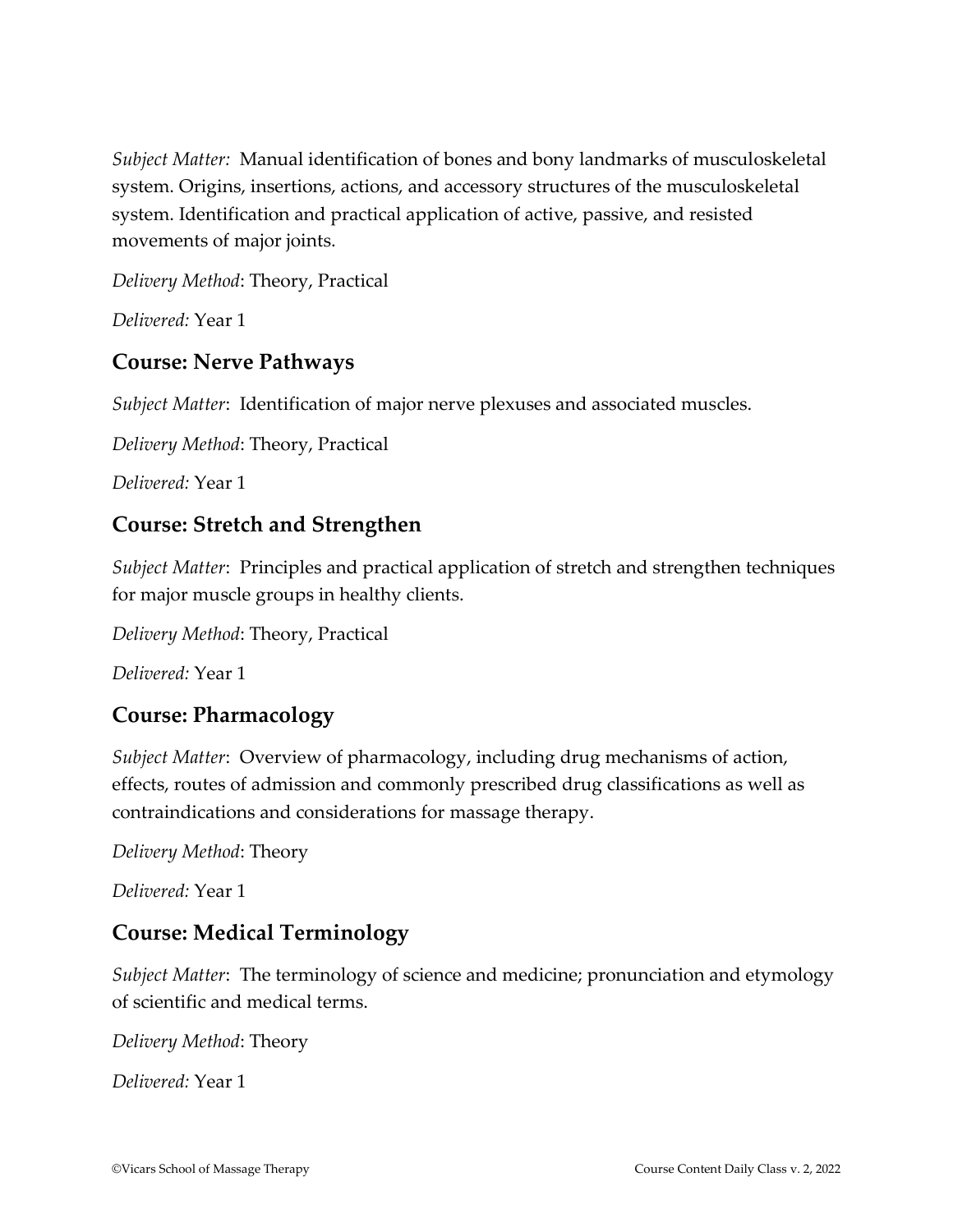*Subject Matter:* Manual identification of bones and bony landmarks of musculoskeletal system. Origins, insertions, actions, and accessory structures of the musculoskeletal system. Identification and practical application of active, passive, and resisted movements of major joints.

*Delivery Method*: Theory, Practical

*Delivered:* Year 1

#### **Course: Nerve Pathways**

*Subject Matter*: Identification of major nerve plexuses and associated muscles.

*Delivery Method*: Theory, Practical

*Delivered:* Year 1

#### **Course: Stretch and Strengthen**

*Subject Matter*: Principles and practical application of stretch and strengthen techniques for major muscle groups in healthy clients.

*Delivery Method*: Theory, Practical

*Delivered:* Year 1

#### **Course: Pharmacology**

*Subject Matter*: Overview of pharmacology, including drug mechanisms of action, effects, routes of admission and commonly prescribed drug classifications as well as contraindications and considerations for massage therapy.

*Delivery Method*: Theory

*Delivered:* Year 1

# **Course: Medical Terminology**

*Subject Matter*: The terminology of science and medicine; pronunciation and etymology of scientific and medical terms.

*Delivery Method*: Theory

*Delivered:* Year 1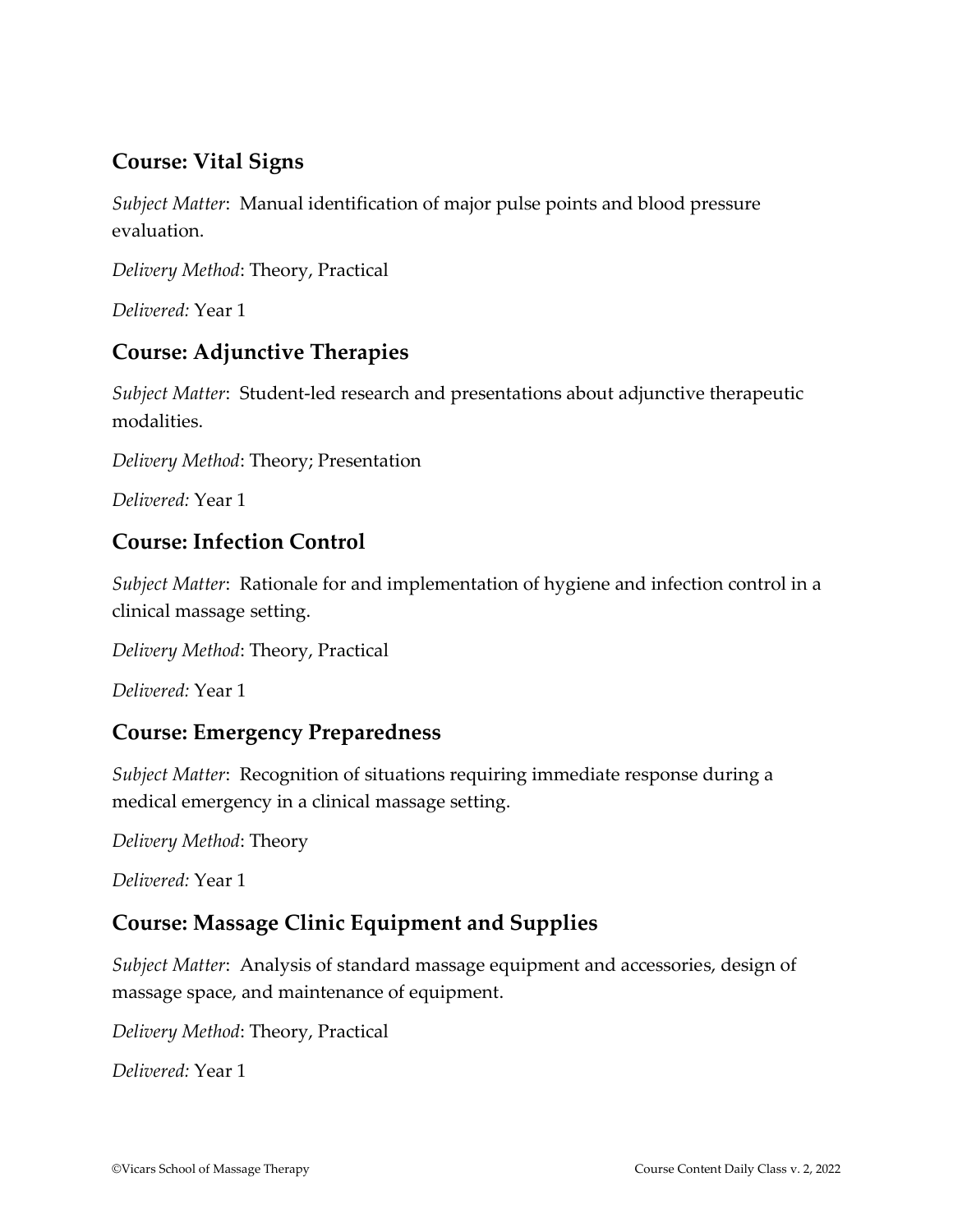# **Course: Vital Signs**

*Subject Matter*: Manual identification of major pulse points and blood pressure evaluation.

*Delivery Method*: Theory, Practical

*Delivered:* Year 1

#### **Course: Adjunctive Therapies**

*Subject Matter*: Student-led research and presentations about adjunctive therapeutic modalities.

*Delivery Method*: Theory; Presentation

*Delivered:* Year 1

#### **Course: Infection Control**

*Subject Matter*: Rationale for and implementation of hygiene and infection control in a clinical massage setting.

*Delivery Method*: Theory, Practical

*Delivered:* Year 1

#### **Course: Emergency Preparedness**

*Subject Matter*: Recognition of situations requiring immediate response during a medical emergency in a clinical massage setting.

*Delivery Method*: Theory

*Delivered:* Year 1

#### **Course: Massage Clinic Equipment and Supplies**

*Subject Matter*: Analysis of standard massage equipment and accessories, design of massage space, and maintenance of equipment.

*Delivery Method*: Theory, Practical

*Delivered:* Year 1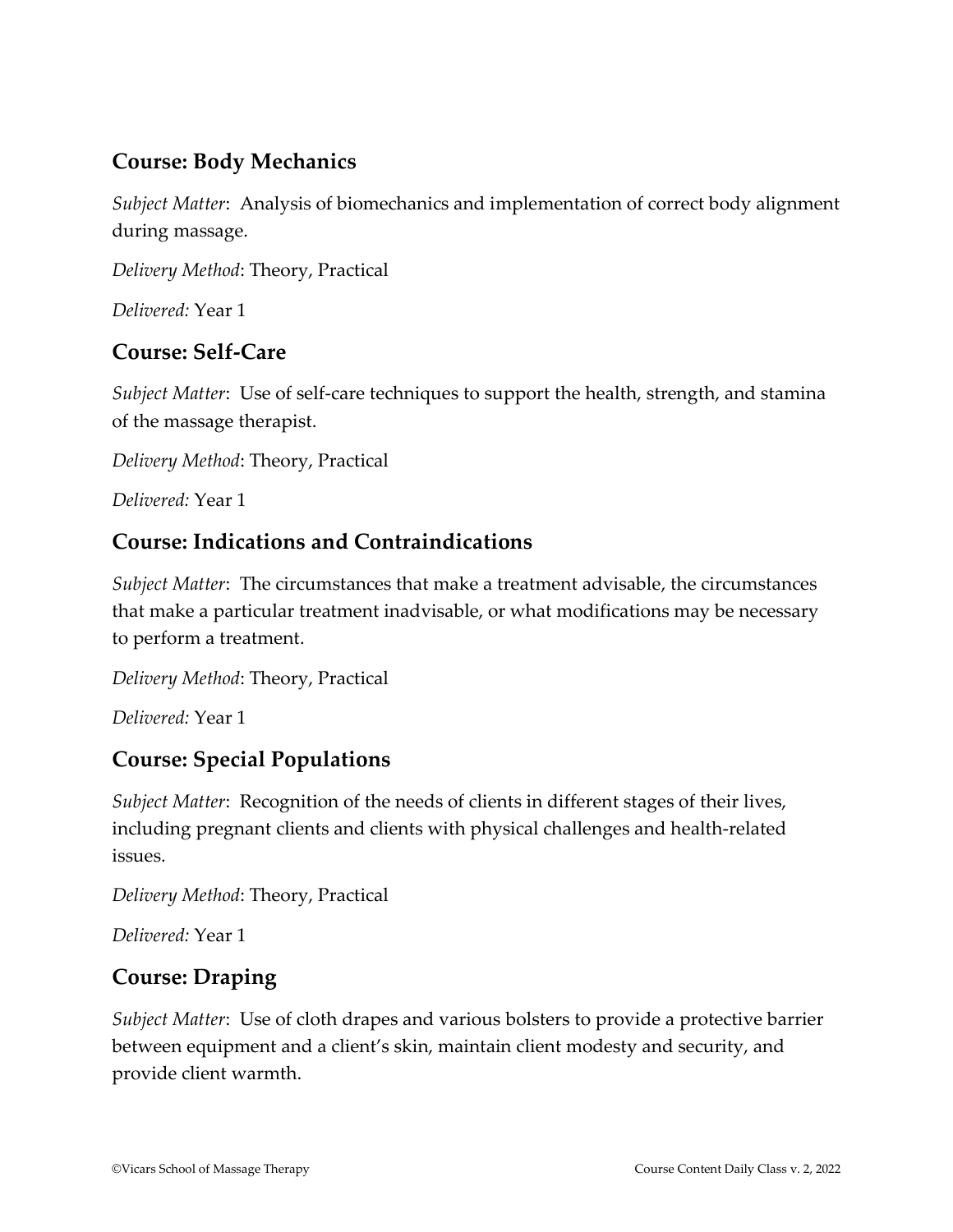#### **Course: Body Mechanics**

*Subject Matter*: Analysis of biomechanics and implementation of correct body alignment during massage.

*Delivery Method*: Theory, Practical

*Delivered:* Year 1

#### **Course: Self-Care**

*Subject Matter*: Use of self-care techniques to support the health, strength, and stamina of the massage therapist.

*Delivery Method*: Theory, Practical

*Delivered:* Year 1

#### **Course: Indications and Contraindications**

*Subject Matter*: The circumstances that make a treatment advisable, the circumstances that make a particular treatment inadvisable, or what modifications may be necessary to perform a treatment.

*Delivery Method*: Theory, Practical

*Delivered:* Year 1

#### **Course: Special Populations**

*Subject Matter*: Recognition of the needs of clients in different stages of their lives, including pregnant clients and clients with physical challenges and health-related issues.

*Delivery Method*: Theory, Practical

*Delivered:* Year 1

#### **Course: Draping**

*Subject Matter*: Use of cloth drapes and various bolsters to provide a protective barrier between equipment and a client's skin, maintain client modesty and security, and provide client warmth.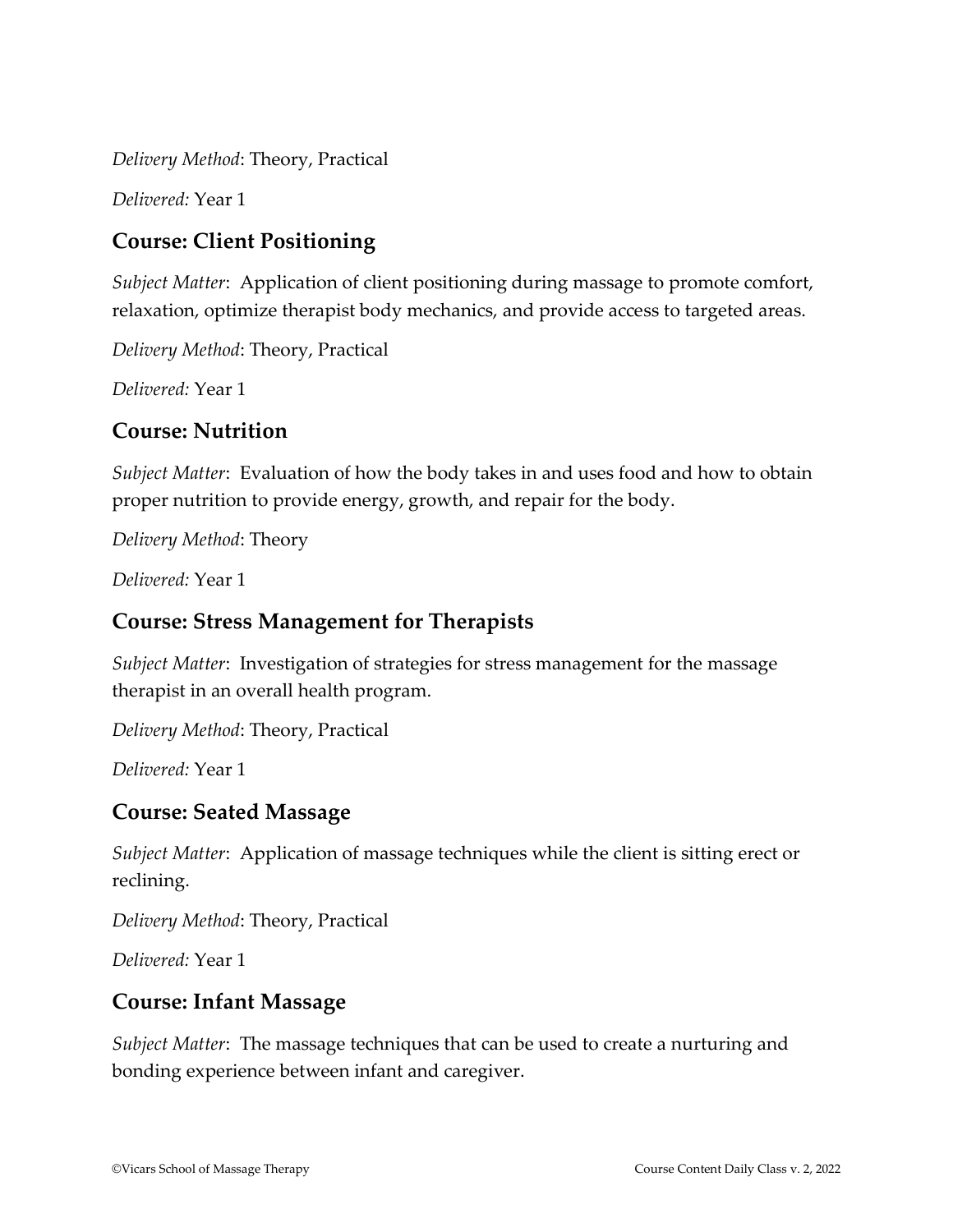*Delivery Method*: Theory, Practical

*Delivered:* Year 1

#### **Course: Client Positioning**

*Subject Matter*: Application of client positioning during massage to promote comfort, relaxation, optimize therapist body mechanics, and provide access to targeted areas.

*Delivery Method*: Theory, Practical

*Delivered:* Year 1

#### **Course: Nutrition**

*Subject Matter*: Evaluation of how the body takes in and uses food and how to obtain proper nutrition to provide energy, growth, and repair for the body.

*Delivery Method*: Theory

*Delivered:* Year 1

#### **Course: Stress Management for Therapists**

*Subject Matter*: Investigation of strategies for stress management for the massage therapist in an overall health program.

*Delivery Method*: Theory, Practical

*Delivered:* Year 1

#### **Course: Seated Massage**

*Subject Matter*: Application of massage techniques while the client is sitting erect or reclining.

*Delivery Method*: Theory, Practical

*Delivered:* Year 1

#### **Course: Infant Massage**

*Subject Matter*: The massage techniques that can be used to create a nurturing and bonding experience between infant and caregiver.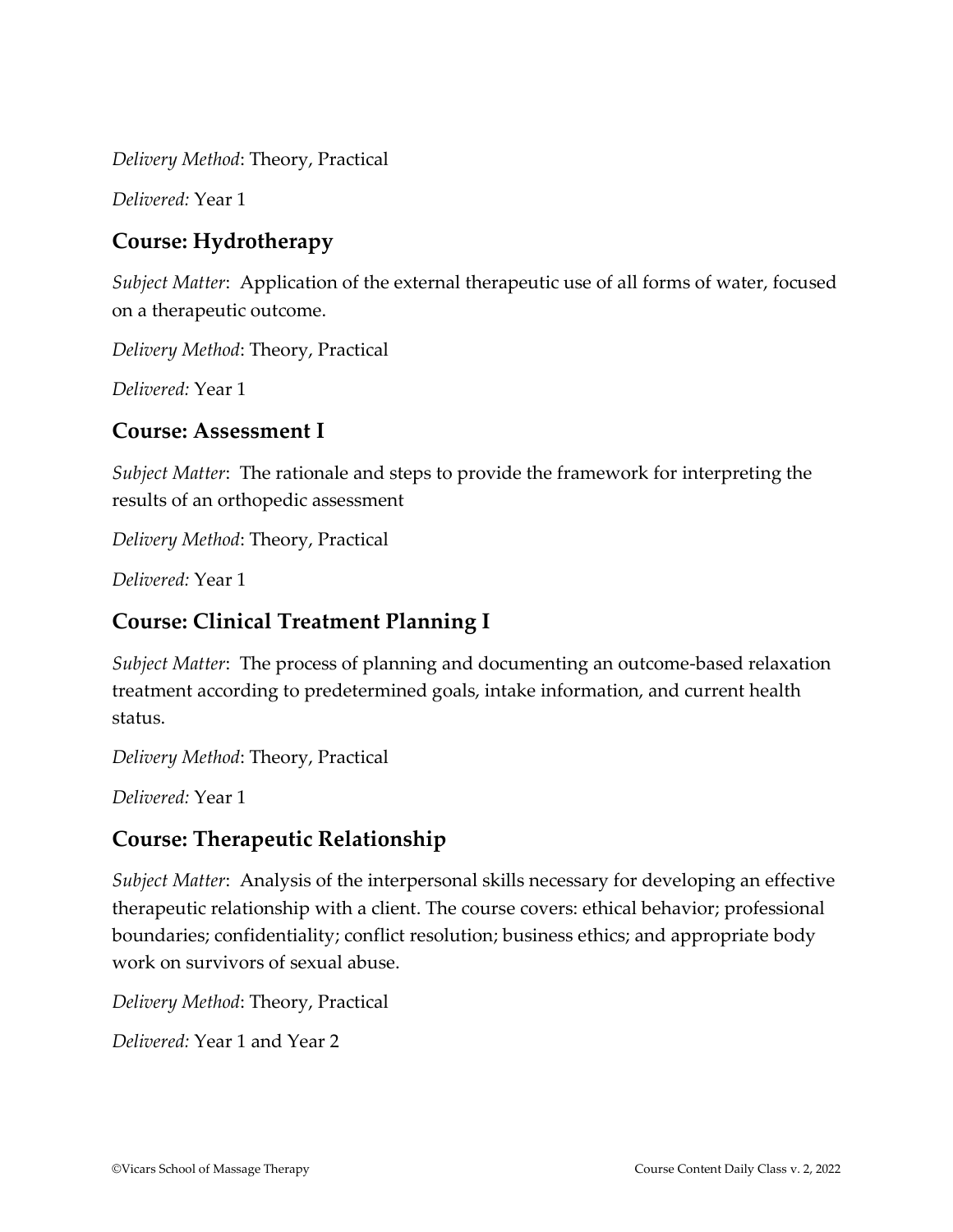*Delivery Method*: Theory, Practical

*Delivered:* Year 1

#### **Course: Hydrotherapy**

*Subject Matter*: Application of the external therapeutic use of all forms of water, focused on a therapeutic outcome.

*Delivery Method*: Theory, Practical

*Delivered:* Year 1

#### **Course: Assessment I**

*Subject Matter*: The rationale and steps to provide the framework for interpreting the results of an orthopedic assessment

*Delivery Method*: Theory, Practical

*Delivered:* Year 1

#### **Course: Clinical Treatment Planning I**

*Subject Matter*: The process of planning and documenting an outcome-based relaxation treatment according to predetermined goals, intake information, and current health status.

*Delivery Method*: Theory, Practical

*Delivered:* Year 1

# **Course: Therapeutic Relationship**

*Subject Matter*: Analysis of the interpersonal skills necessary for developing an effective therapeutic relationship with a client. The course covers: ethical behavior; professional boundaries; confidentiality; conflict resolution; business ethics; and appropriate body work on survivors of sexual abuse.

*Delivery Method*: Theory, Practical

*Delivered:* Year 1 and Year 2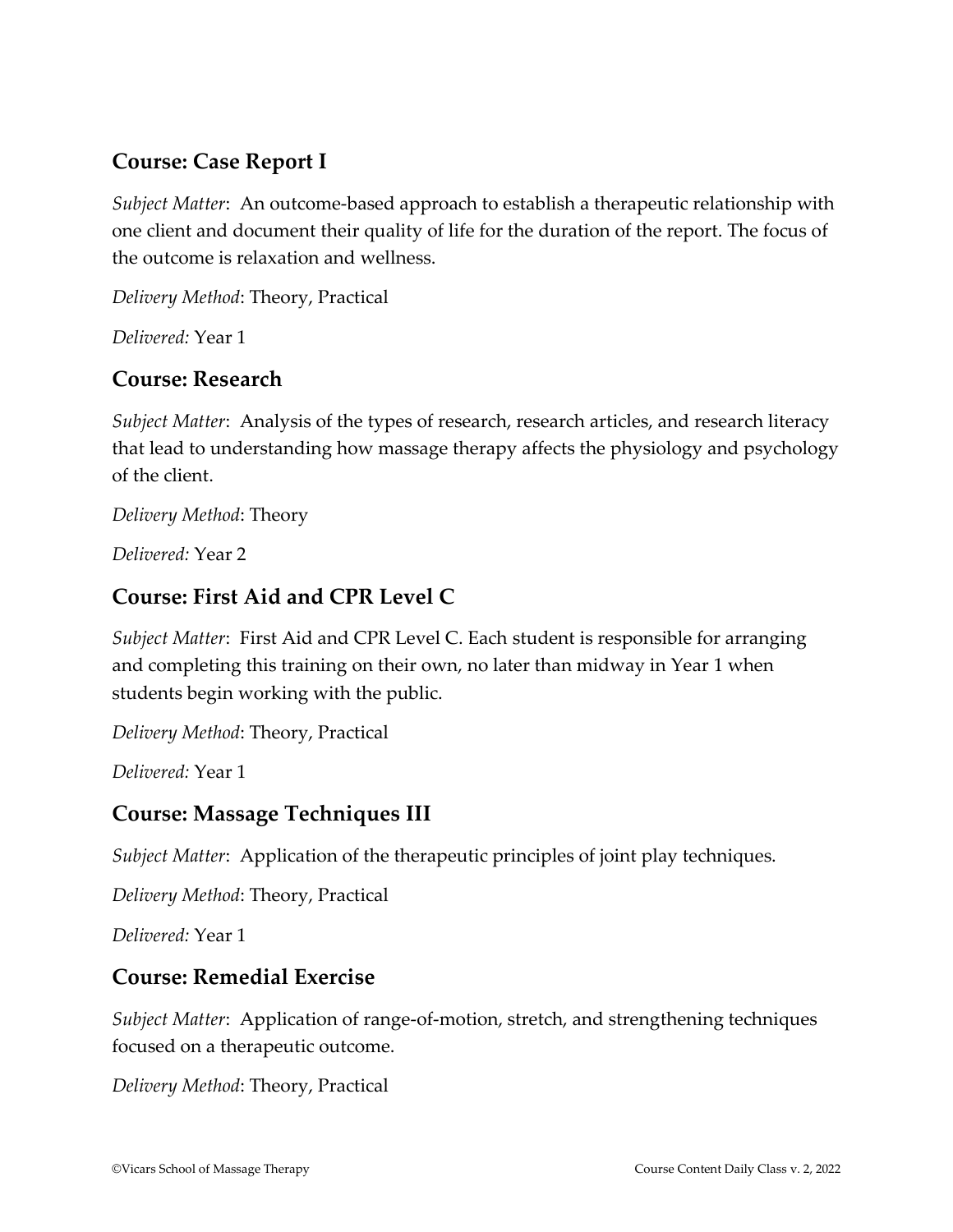#### **Course: Case Report I**

*Subject Matter*: An outcome-based approach to establish a therapeutic relationship with one client and document their quality of life for the duration of the report. The focus of the outcome is relaxation and wellness.

*Delivery Method*: Theory, Practical

*Delivered:* Year 1

#### **Course: Research**

*Subject Matter*: Analysis of the types of research, research articles, and research literacy that lead to understanding how massage therapy affects the physiology and psychology of the client.

*Delivery Method*: Theory

*Delivered:* Year 2

#### **Course: First Aid and CPR Level C**

*Subject Matter*: First Aid and CPR Level C. Each student is responsible for arranging and completing this training on their own, no later than midway in Year 1 when students begin working with the public.

*Delivery Method*: Theory, Practical

*Delivered:* Year 1

#### **Course: Massage Techniques III**

*Subject Matter*: Application of the therapeutic principles of joint play techniques.

*Delivery Method*: Theory, Practical

*Delivered:* Year 1

#### **Course: Remedial Exercise**

*Subject Matter*: Application of range-of-motion, stretch, and strengthening techniques focused on a therapeutic outcome.

*Delivery Method*: Theory, Practical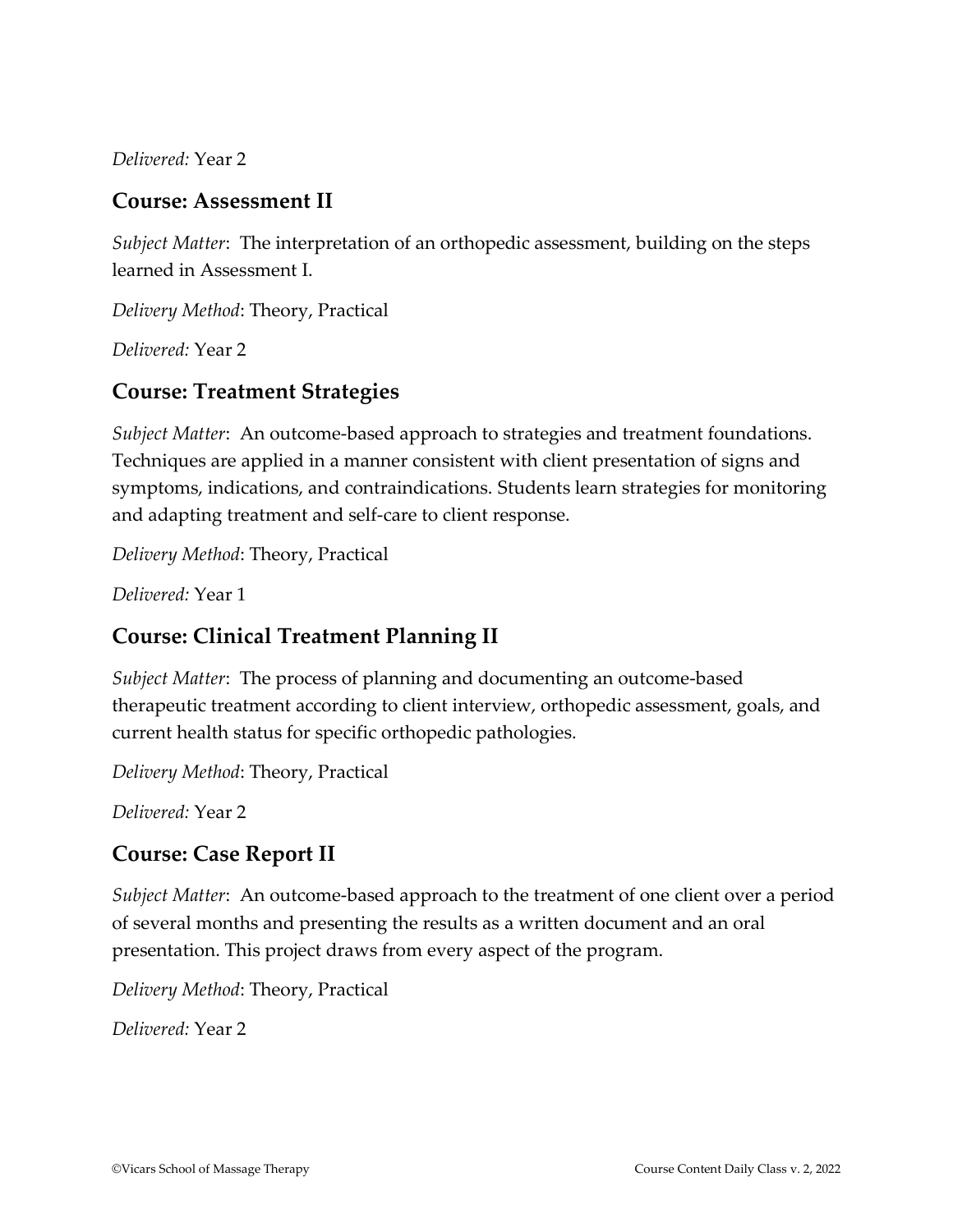*Delivered:* Year 2

#### **Course: Assessment II**

*Subject Matter*: The interpretation of an orthopedic assessment, building on the steps learned in Assessment I.

*Delivery Method*: Theory, Practical

*Delivered:* Year 2

#### **Course: Treatment Strategies**

*Subject Matter*: An outcome-based approach to strategies and treatment foundations. Techniques are applied in a manner consistent with client presentation of signs and symptoms, indications, and contraindications. Students learn strategies for monitoring and adapting treatment and self-care to client response.

*Delivery Method*: Theory, Practical

*Delivered:* Year 1

# **Course: Clinical Treatment Planning II**

*Subject Matter*: The process of planning and documenting an outcome-based therapeutic treatment according to client interview, orthopedic assessment, goals, and current health status for specific orthopedic pathologies.

*Delivery Method*: Theory, Practical

*Delivered:* Year 2

# **Course: Case Report II**

*Subject Matter*: An outcome-based approach to the treatment of one client over a period of several months and presenting the results as a written document and an oral presentation. This project draws from every aspect of the program.

*Delivery Method*: Theory, Practical

*Delivered:* Year 2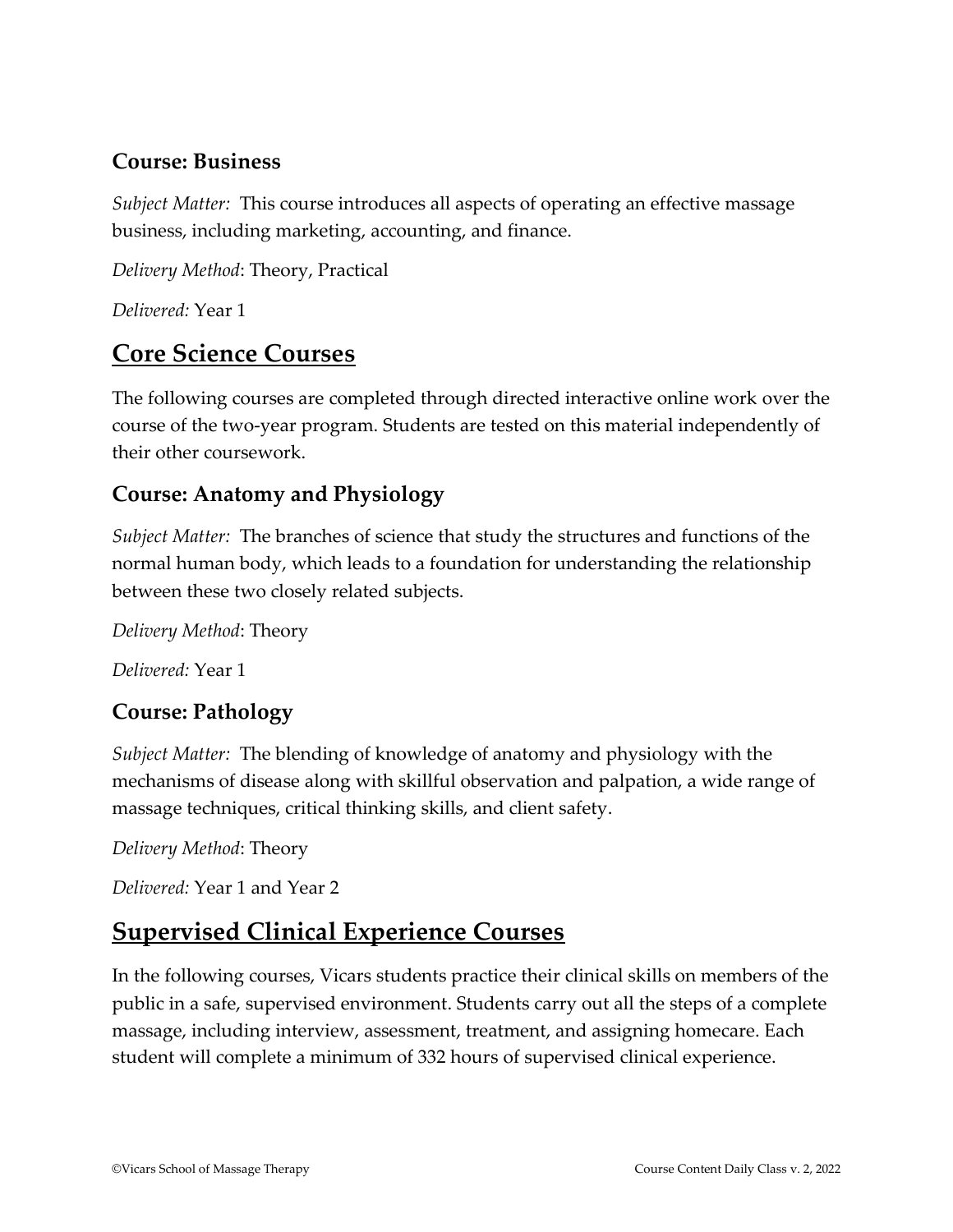#### **Course: Business**

*Subject Matter:* This course introduces all aspects of operating an effective massage business, including marketing, accounting, and finance.

*Delivery Method*: Theory, Practical

*Delivered:* Year 1

# **Core Science Courses**

The following courses are completed through directed interactive online work over the course of the two-year program. Students are tested on this material independently of their other coursework.

#### **Course: Anatomy and Physiology**

*Subject Matter:* The branches of science that study the structures and functions of the normal human body, which leads to a foundation for understanding the relationship between these two closely related subjects.

*Delivery Method*: Theory

*Delivered:* Year 1

# **Course: Pathology**

*Subject Matter:* The blending of knowledge of anatomy and physiology with the mechanisms of disease along with skillful observation and palpation, a wide range of massage techniques, critical thinking skills, and client safety.

*Delivery Method*: Theory

*Delivered:* Year 1 and Year 2

# **Supervised Clinical Experience Courses**

In the following courses, Vicars students practice their clinical skills on members of the public in a safe, supervised environment. Students carry out all the steps of a complete massage, including interview, assessment, treatment, and assigning homecare. Each student will complete a minimum of 332 hours of supervised clinical experience.